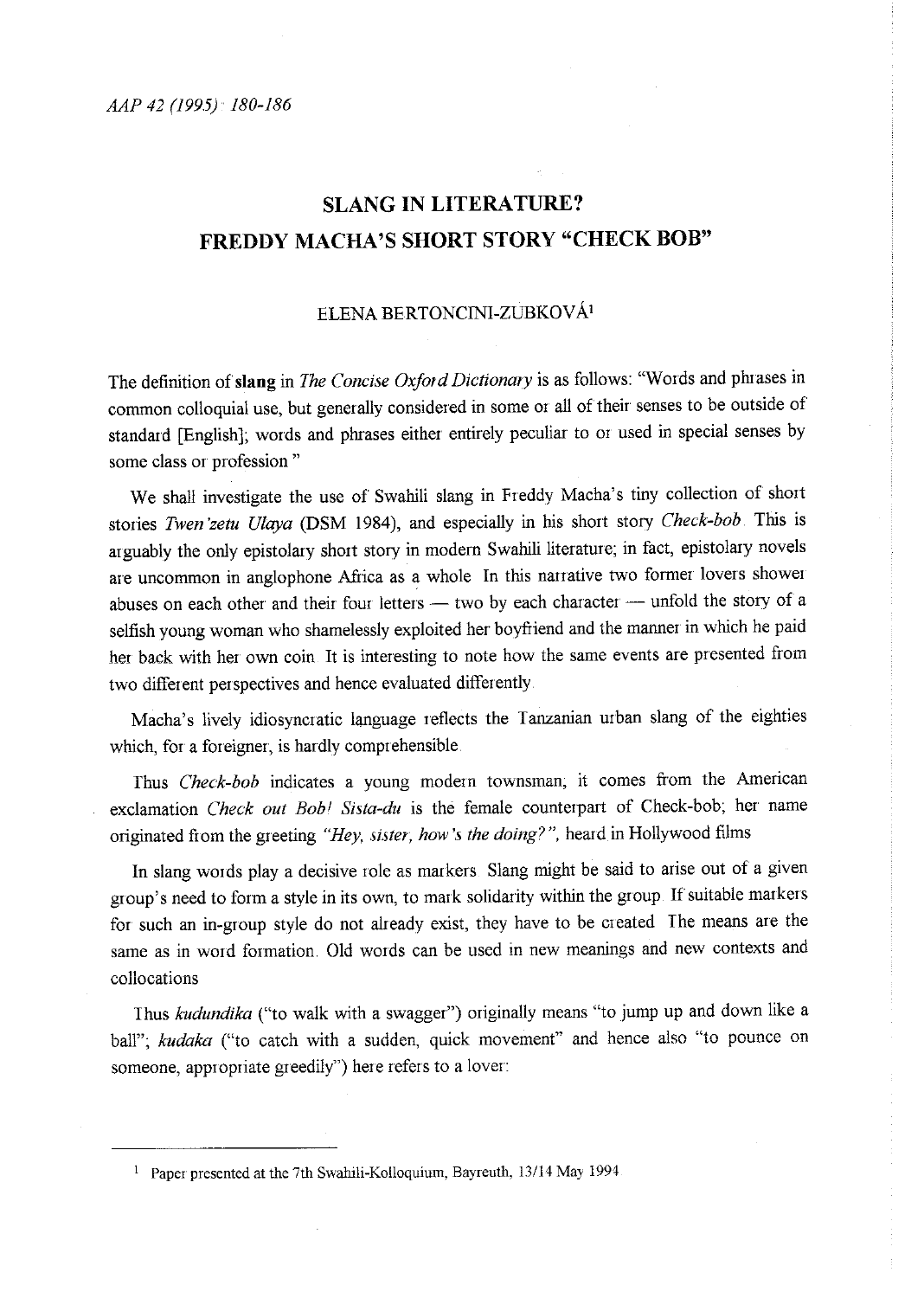## **SLANG IN LITERATURE? FREDDY MACHA'S SHORT STORY "CHECK BOB"**

## ELENA BERTONCINI-ZUBKOVÁ<sup>1</sup>

The definition of slang in *The Concise Oxford Dictionary* is as follows: "Words and phrases in common colloquial use, but generally considered in some or all of their senses to be outside of standard [English]; words and phrases either entirely peculiar to or used in special senses by some class or profession "

We shall investigate the use of Swahili slang in Freddy Macha's tiny collection of short stories *Twen 'zetu Ulaya* **(DSM** 1984), and especially in his short story *Check-bob* This is arguably the only epistolary short story in modern Swahili literature; in fact, epistolary novels are uncommon in anglophone Africa as a whole In this narrative two former lovers shower abuses on each other and their four letters - two by each character - unfold the story of a selfish young woman who shamelessly exploited her boyfiiend and the manner in which he paid her back with her own coin It is interesting to note how the same events are presented from two different perspectives and hence evaluated differently

Macha's lively idiosyncratic language reflects the Tanzanian urban slang of the eighties which, for a foreigner, is hardly comprehensible

Thus *Check-bob* indicates a young modern townsman; it comes from the American exclamation *Check out Bob! Sista-du* is the female counterpart of Check-bob; her name originated from the greeting *"Hey, sister, how's the doing?",* heard in Hollywood films

In slang words play a decisive role as markers Slang might be said to arise out of a given group's need to form a style in its own, to mark solidarity within the group If suitable markers for such an in-group style do not already exist, they have to be created The means are the same as in word formation Old words can be used in new meanings and new contexts and collocations

Thus *kudundika* ("to walk with a swagger") originally means "to jump up and down like a ball"; *kudaka* ("to catch with a sudden, quick movement" and hence also "to pounce on someone, appropriate greedily") here refers to a lover:

<sup>1</sup> Paper presented at the 7th Swahili-Kolloquium, Bayreuth, 13/14 May 1994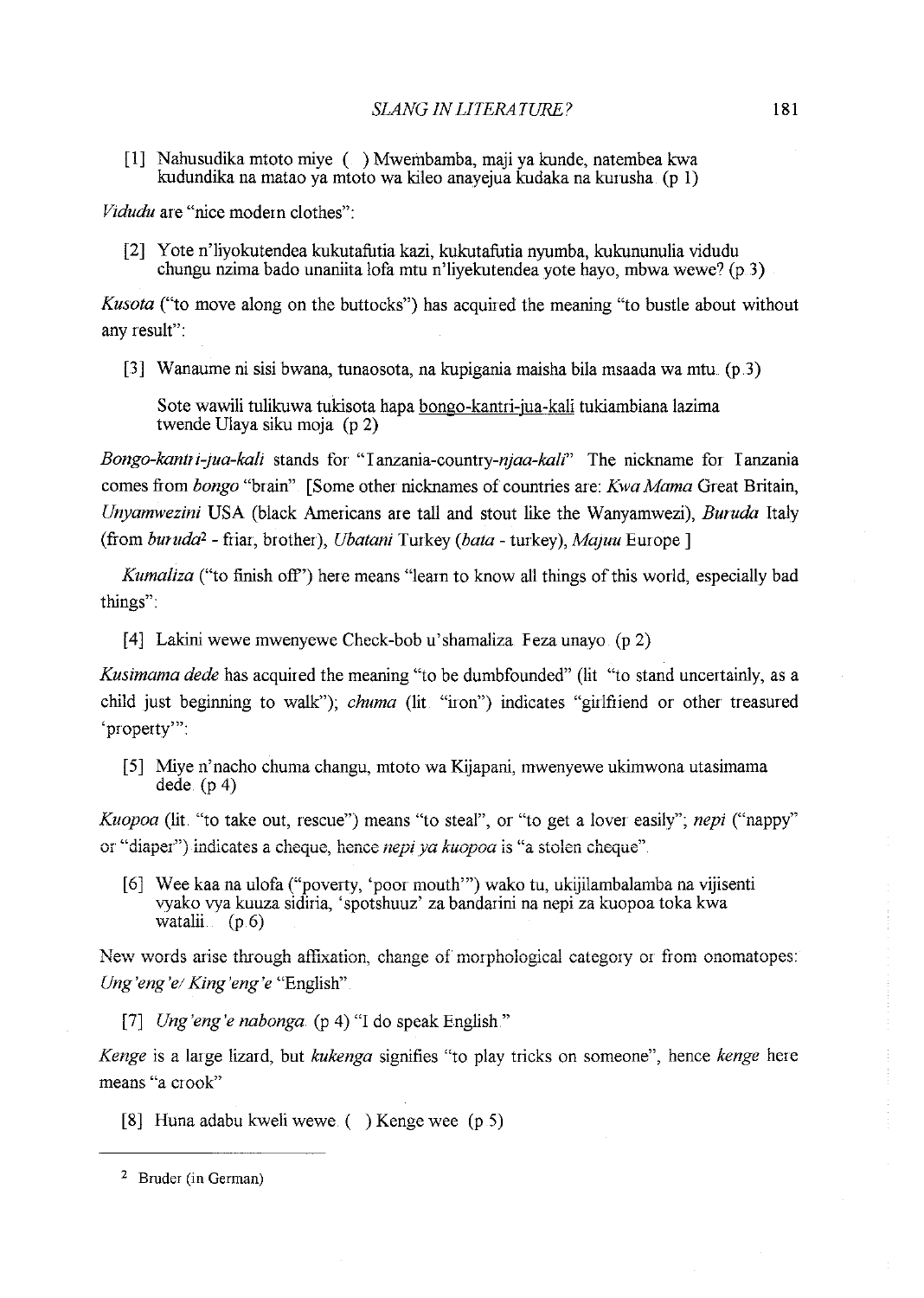[1] Nahusudika mtoto miye ( ) Mwembamba, maji ya kunde, natembea kwa kudundika na matao ya mtoto wa kileo anayejua kudaka na kurusha (p 1)

*Vidudu* are "nice modern clothes":

[2] Y ote n'liyokutendea kukutafutia kazi, kukutafutia nyumba, kukununulia vidudu chungu nzima bado unaniita lofa mtu n'liyekutendea yote hayo, mbwa wewe? (p 3)

*Kusota* ("to move along on the buttocks") has acquired the meaning "to bustle about without any result":

[3] Wanaume ni sisi bwana, tunaosota, na kupigania maisha bila msaada wa mtu  $(p_1, 3)$ 

Sote wawili tulikuwa tukisota hapa bongo-kantri-jua-kali tukiambiana lazima twende Ulaya siku moja (p 2)

*Bongo-kantri-jua-kali* stands for "Ianzania-country-njaa-kali" The nickname for Tanzania comes from *bongo* "brain" [Some other nicknames of countries are: *Kwa Mama* Great Britain, *Unyamwezini* USA (black Americans are tall and stout like the Wanyamwezi), *Buruda* Italy (from *buruda<sup>2</sup>* - friar, brother), *Ubatani* Turkey (*bata* - turkey), *Majuu* Europe ]

*Kumaliza* ("to finish off') here means "learn to know all things of this world, especially bad things":

[4] Lakini wewe mwenyewe Check-bob u'shamaliza Feza unayo (p 2)

*Kusimama dede* has acquired the meaning "to be dumbfounded" (lit "to stand uncertainly, as a child just beginning to walk"); *chuma* (lit "iron") indicates "girlfriend or other treasured 'property'":

[5] Miye n'nacho chuma changu, mtoto wa Kijapani, mwenyewe ukimwona utasimama dede.  $(p 4)$ 

*Kuopoa* (lit. "to take out, rescue") means "to steal", or "to get a lover easily"; *nepi* ("nappy" or "diaper") indicates a cheque, hence *nepiya kuopoa* is "a stolen cheque"

[6] Wee kaa na ulofa ("poverty, 'poor mouth"') wako tu, ukijilambalamba na vijisenti vyako vya kuuza sidiria, 'spotshuuz' za bandarini na nepi za kuopoa toka kwa watalii <sub>(</sub>

**New words arise through affixation, change of morphological category or from onomatopes:** *Ung'eng'e! King'eng'e* "English"

[7] *Ung'eng'e nabonga.* (p 4) "I do speak English."

*Kenge* is a large lizard, but *kukenga* signifies "to play tricks on someone", hence *kenge* here **means "a crook"** 

[8] Huna adabu kweli wewe ( ) Kenge wee (p 5)

<sup>2</sup> Bruder (in German)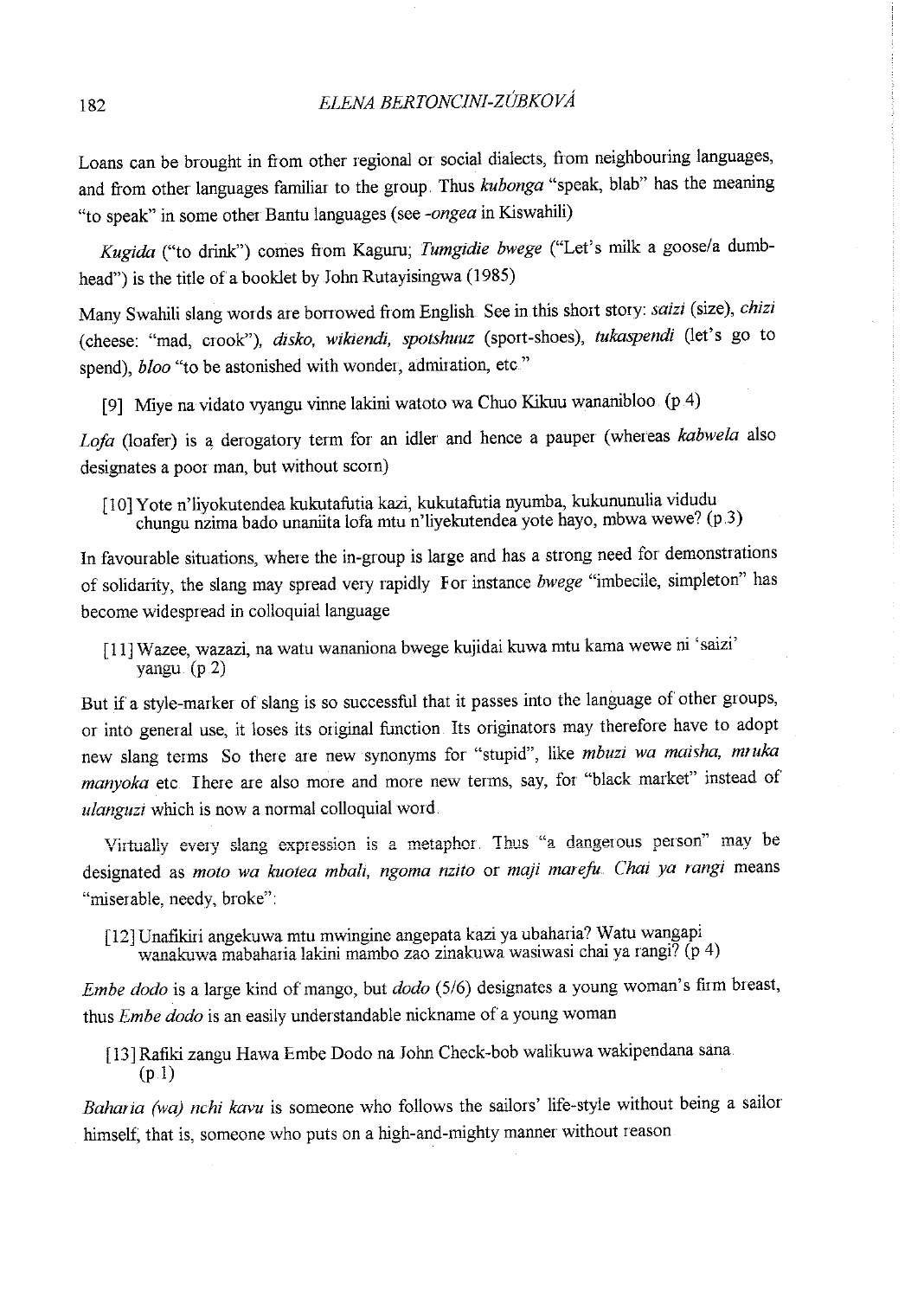Loans can be brought in from other regional or social dialects, from neighbouring languages, and from other languages familiar to the group. Thus *kubonga* "speak, blab" has the meaning "to speak" in some other Bantu languages (see *-ongea* in Kiswahili)

*Kugida* ("to drink") comes from Kaguru; *Tumgidie bwege* ("Let's milk a goose/a dumbhead") is the title of a booklet by John Rutayisingwa (1985)

Many Swahili slang words are borrowed from English See in this short story: *saizi* (size), *chizi*  (cheese: "mad, crook"), *disko, wikiendi, spotshuuz* (sport-shoes), *tukaspendi* (let's go to spend), *bloo* "to be astonished with wonder, admiration, etc."

[9] Miye na vidato vyangu vinne lakini watoto wa Chuo Kikuu wananibloo (p 4)

*Loja* (loafer) is a, derogatory term for an idler and hence a pauper (whereas *kabwela* also designates a poor man, but without scorn)

[10] Yote n'liyokutendea kukutafutia kazi, kukutafutia nyumba, kukununulia vidudu chungu nzima bado unaniita lofa mtu n'liyekutendea yote hayo, mbwa wewe? (p .3)

In favourable situations, where the in-group is large and has a strong need for demonstrations of solidarity, the slang may spread very rapidly For instance *bwege* "imbecile, simpleton" has become widespread in colloquial language

[ 11] W azee, wazazi, na watu wananiona bwege kujidai kuwa mtu kama wewe ni 'saizi' **yangu (p.2)** 

But if a style-marker of slang is so successful that it passes into the language of other groups, or into general use, it loses its original function. Its originators may therefore have to adopt new slang terms So there are new synonyms for "stupid", like *mbuzi wa maisha, mruka manyoka* etc <sup>I</sup>here are also more and more new terms, say, for "black market" instead of *ulanguzi* which is now a normal colloquial word

Virtually every slang expression is a metaphor Thus "a dangerous person" may be designated as *moto wa kuotea mbalz, ngoma nzito* or *maji mareju. Chai ya rangi* means "miserable, needy, broke":

[12] Unafikiri angekuwa mtu mwingine angepata kazi ya ubaharia? Watu wangapi  $\sqrt{p^2 + p^2}$  **wanakuwa mabaharia lakini mambo zao zinakuwa wasiwasi chai ya rangi? (p 4)** 

*Embe dodo* is a large kind of mango, but *dodo* (5/6) designates a young woman's firm breast, thus *Em be dodo* is an easily understandable nickname of a young woman

[13]Rafiki zangu Hawa Embe Dodo na John Check-bob walikuwa wakipendana sana  $(p.1)$ 

*Bahar ia (wa) nchi kavu* is someone who follows the sailors' life-style without being a sailor himself; that is, someone who puts on a high-and-mighty manner without reason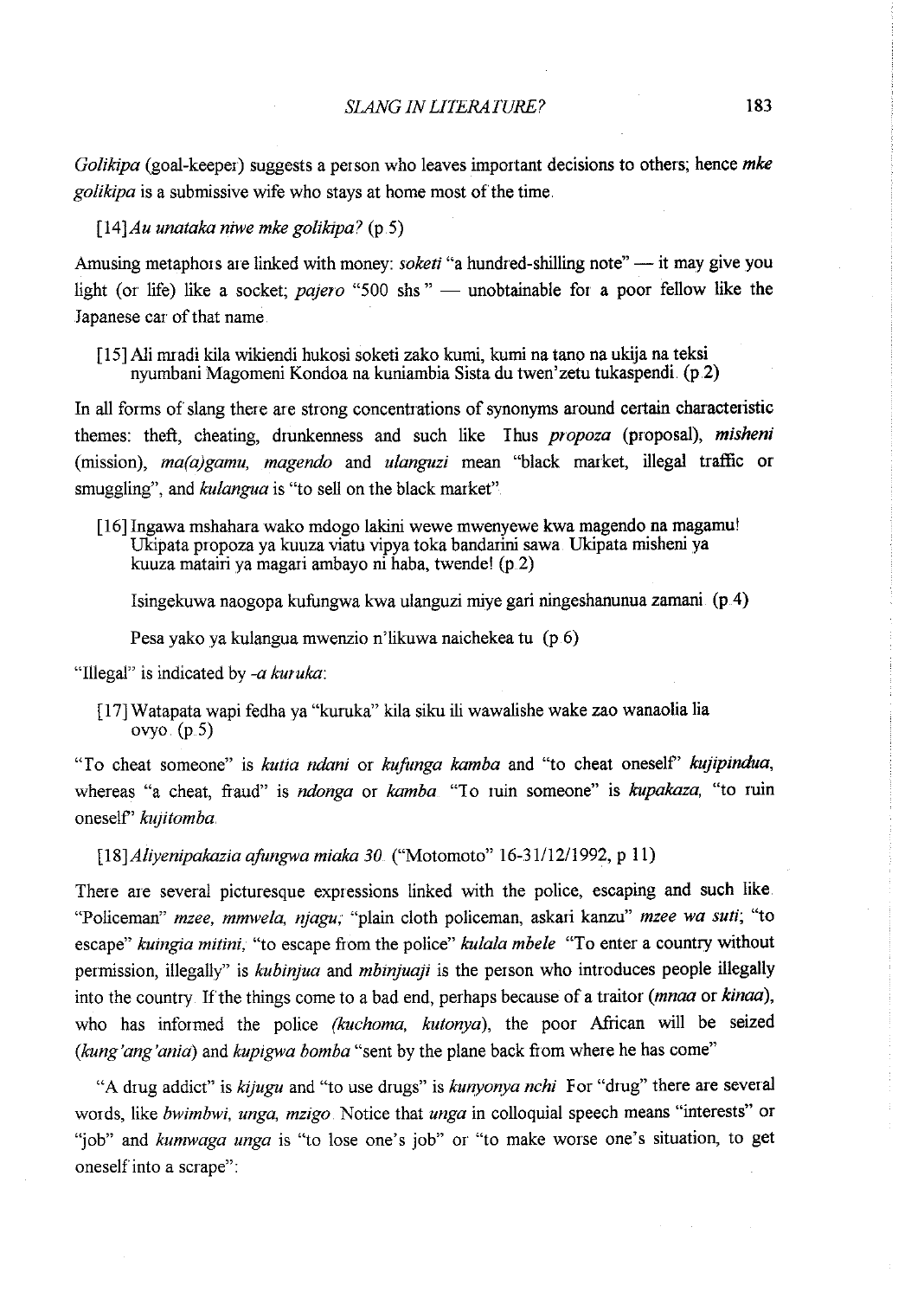*Golikipa* (goal-keeper) suggests a person who leaves important decisions to others; hence *mke golikipa* is a submissive wife who stays at home most of the time.

*[14]Au unataka niwe mke golikipa?* (p.S)

Amusing metaphors are linked with money: *soketi* "a hundred-shilling note" — it may give you light (or life) like a socket; *pajero* "500 shs" — unobtainable for a poor fellow like the Japanese car of that name

[ 15] Ali mradi kila wikiendi hukosi soketi zako kumi, kumi na tano na ukija na teksi nyumbani Magomeni Kondoa na kuniarnbia Sista du twen'zetu tukaspendi. (p.2)

In all forms of slang there are strong concentrations of synonyms around certain characteristic themes: theft, cheating, drunkenness and such like Ihus *propoza* (proposal), *misheni*  (mission), *ma(a)gamu, magendo* and *ulanguzi* mean "black market, illegal traffic or smuggling", and *kulangua* is "to sell on the black market"

[16] Ingawa mshahara wako mdogo lakini wewe mwenyewe kwa magendo na magamu! Ukipata propoza ya kuuza viatu vipya toka bandarini sawa. Ukipata misheni ya kuuza matairi ya magari ambayo ni haba, twende! (p 2)

Isingekuwa naogopa kufungwa kwa ulanguzi miye gari ningeshanunua zarnani (p.4)

Pesa yako ya kulangua mwenzio n'likuwa naichekea tu (p 6)

"Illegal" is indicated by *-a kuruka:* 

[ 17] Watapata wapi fedha ya "kuruka" kila siku ili wawalishe wake zao wanaolia lia ovyo.  $(p.5)$ 

"To cheat someone" is *kutia ndani* or *kufimga kamba* and "to cheat oneself' *kujipindua,*  whereas "a cheat, fraud" is *ndonga* or *kamba*. "To ruin someone" is *kupakaza*, "to ruin oneself' *ku;itomba* 

*[18]Aliyenipakazia a.fungwa miaka 30.* ("Motomoto" 16-31/12/1992, p 11)

There are several picturesque expressions linked with the police, escaping and such like. "Policeman" *mzee, mmwela, njagu,* "plain cloth policeman, askari kanzu" *mzee wa suti;* "to escape" *kuingia mitini,* "to escape from the police" *kulala mbele* "To enter a country without permission, illegally" is *kubinjua* and *mbinjuaji* is the person who introduces people illegally into the country. If the things come to a bad end, perhaps because of a traitor *(mnaa* or *kinaa)*, who has informed the police *(kuchoma, kutonya),* the poor African will be seized *(kung'ang'anid)* and *kupigwa bomba* "sent by the plane back from where he has come"

"A drug addict" is *kijugu* and "to use drugs" is *kunyonya nchi* For "drug" there are several words, like *bwimbwi, unga, mzigo.* Notice that *unga* in colloquial speech means "interests" or "job" and *kumwaga unga* is "to lose one's job" or "to make worse one's situation, to get oneself into a scrape":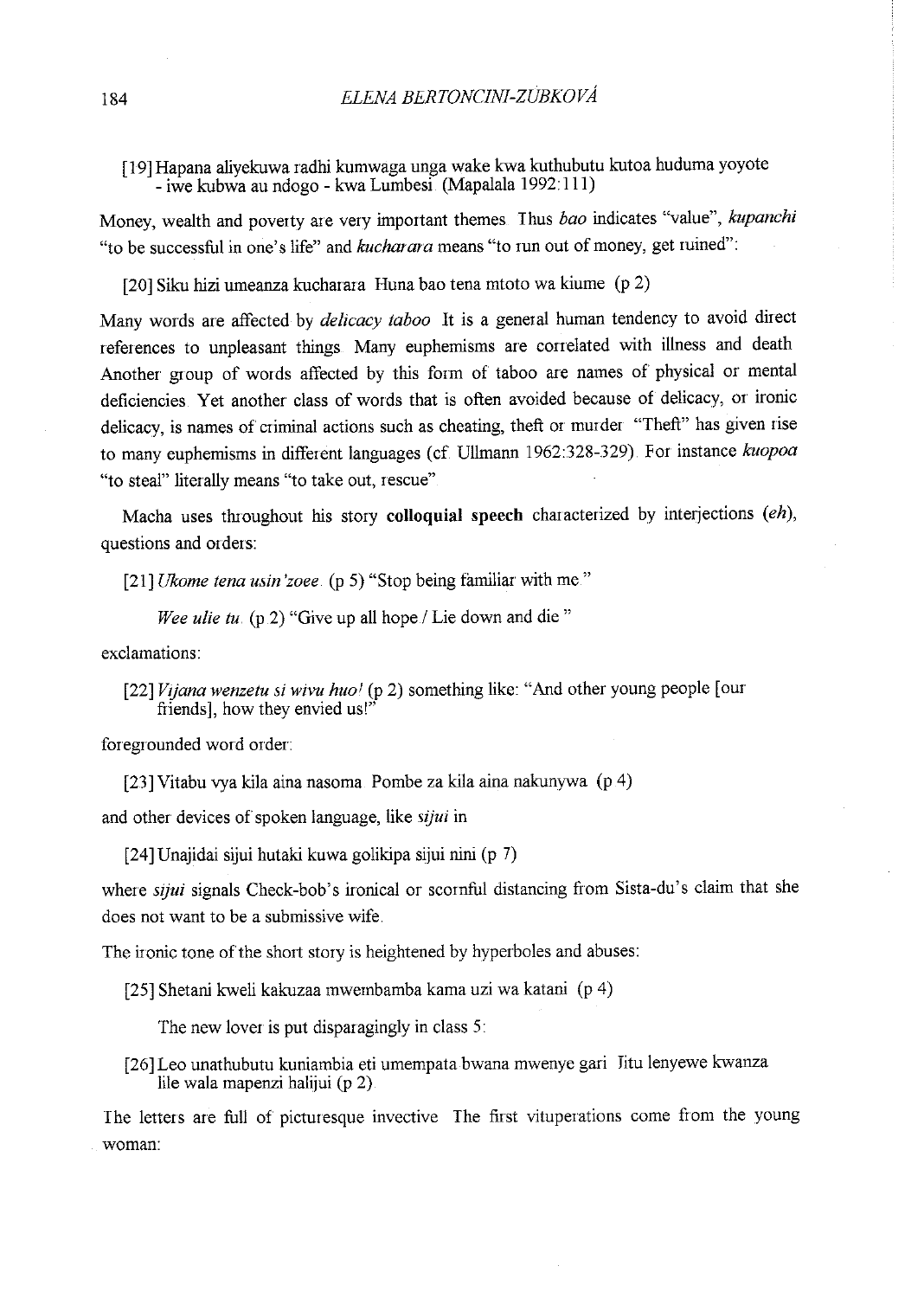[ 19] Hapana aliyekuwa radhi kumwaga unga wake kwa kuthubutu kutoa huduma yoyote - iwe kubwa au ndogo - kwa Lumbesi (Mapalala 1992:111)

Money, wealth and poverty are very important themes Thus *bao* indicates "value", *kupanchi*  "to be successful in one's life" and *kucharara* means "to run out of money, get ruined":

[20] Siku hizi umeanza kucharara Huna bao tena mtoto wa kiume (p 2)

Many words are affected by *delicacy taboo* It is a general human tendency to avoid direct references to unpleasant things Many euphemisms are conelated with illness and death Another group of words affected by this form of taboo are names of physical or mental deficiencies Yet another class of words that is often avoided because of delicacy, or ironic delicacy, is names of criminal actions such as cheating, theft or murder "Theft" has given rise to many euphemisms in different languages (cf Ullmann 1962:328-329) For instance *kuopoa*  "to steal" literally means "to take out, rescue"

Macha uses throughout his story **colloquial speech** characterized by interjections *(eh)*, questions and orders:

[21] *Ukome tena usin 'zoee* (p 5) "Stop being familiar with me."

*Wee ulie tu.* (p 2) "Give up all hope / Lie down and die "

exclamations:

[22] *Vijana wenzetu si wivu huol* (p 2) something like: "And other young people [our friends], how they envied us!

foregrounded word order:

[23] Vitabu vya kila aina nasoma Pombe za kila aina nakunywa (p 4)

and other devices of spoken language, like *sijui* in

[24] Unajidai sijui hutaki kuwa golikipa sijui nini (p 7)

where *sijui* signals Check-bob's ironical or scornful distancing from Sista-du's claim that she does not want to be a submissive wife

The ironic tone of the short story is heightened by hyperboles and abuses:

[25] Shetani kweli kakuzaa mwembamba kama uzi wa katani (p 4)

The new lover is put disparagingly in class 5:

[26] Leo unathubutu kuniambia eti umempata bwana mwenye gari Jitu lenyewe kwanza lile wala mapenzi halijui (p 2)

The letters are full of picturesque invective The first vituperations come from the young woman: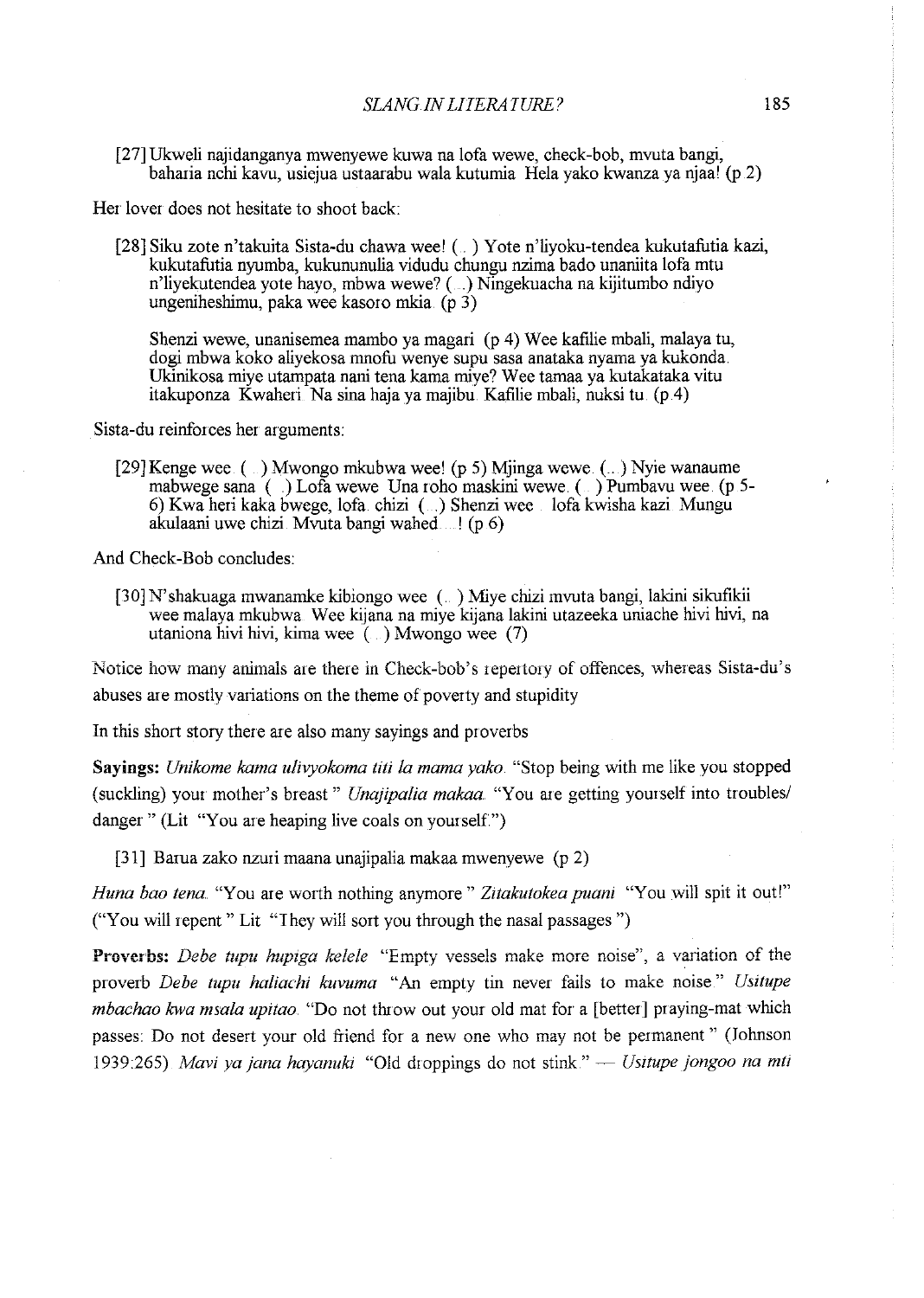[27] Ukweli najidanganya mwenyewe kuwa na 1ofa wewe, check-bob, mvuta bangi, baharia nchi kavu, usiejua ustaarabu wala kutumia Hela yako kwanza ya njaa! (p .2)

Her lover does not hesitate to shoot back:

[28] Siku zote n'takuita Sista-du chawa wee! ( . ) Y ote n'liyoku-tendea kukutafutia kazi, kukutafutia nyumba, kukununulia vidudu chungu nzima bado unaniita lofa mtu n'liyekutendea yote hayo, mbwa wewe? (. .) Ningekuacha na kijitumbo ndiyo ungeniheshimu, paka wee kasoro mkia.  $(p 3)$ 

Shenzi wewe, unanisemea mambo ya magari (p 4) Wee kafilie mbali, malaya tu, dogi mbwa koko aliyekosa mnofu wenye supu sasa anataka nyarna ya kukonda Ukinikosa miye utarnpata nani tena karna miye? Wee tarnaa ya kutakataka vitu itakuponza Kwaheri Na sina haja ya majibu. Kafilie mbali, nuksi tu (p 4)

Sista-du reinforces her arguments:

[29] Kenge wee. (...) Mwongo mkubwa wee! (p 5) Mjinga wewe. (...) Nyie wanaume mabwege sana ( ) Lofa wewe Una roho maskini wewe. ( ) Pumbavu wee. (p 5-6) Kwa heri kaka bwege, lofa. chizi ( .) Shenzi wee lofa kwisha kazi Mungu akulaani uwe chizi. Mvuta bangi wahed ...! (p.6)

And Check-Bob concludes:

[30] N' shakuaga mwanarnke kibiongo wee ( ) Miye chizi mvuta bangi, lakini sikufikii wee malaya mkubwa Wee kijana na miye kijana lakini utazeeka uniache hivi hivi, na utaniona hivi hivi, kima wee  $(\dots)$  Mwongo wee (7)

Notice how many animals are there in Check-bob's repertory of offences, whereas Sista-du's abuses are mostly variations on the theme of poverty and stupidity

In this short story there are also many sayings and proverbs

**Sayings:** *Unikome kama ulivyokoma titi la mama yako.* "Stop being with me like you stopped (suckling) your mother's breast" *Unajipalia makaa.* "You are getting yourself into troubles/ danger " (Lit "You are heaping live coals on yourself.")

[31] Barua zako nzuri maana unajipalia makaa mwenyewe (p 2)

*Huna bao tena.* "You are worth nothing anymore" *Zitakutokea puani* "You will spit it out!" ("You will repent " Lit "They will sort you through the nasal passages ")

**Proverbs:** *Debe tupu hupiga kelele* **"Empty vessels make more noise", a variation of the**  proverb *Debe tupu haliachi kuvuma* "An empty tin never fails to make noise" *Usitupe mbachao kwa msala upitao.* "Do not throw out your old mat for a [better] praying-mat which passes: Do not desert your old friend for a new one who may not be permanent" (Johnson 1939:265) *Mavi ya jana hayanuki* "Old droppings do not stink." — *Usitupe jongoo na mti*